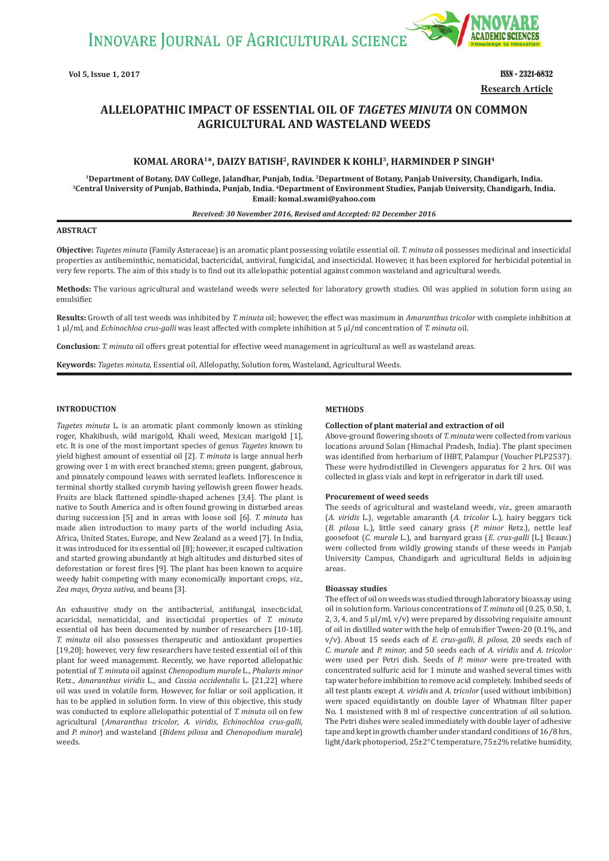INNOVARE JOURNAL OF AGRICULTURAL SCIENCE



**Vol 5, Issue 1, 2017 ISSN - 2321-6832 Research Article**

# **ALLELOPATHIC IMPACT OF ESSENTIAL OIL OF** *TAGETES MINUTA* **ON COMMON AGRICULTURAL AND WASTELAND WEEDS**

# **KOMAL ARORA1\*, DAIZY BATISH2, RAVINDER K KOHLI3, HARMINDER P SINGH4**

<sup>1</sup>Department of Botany, DAV College, Jalandhar, Punjab, India. <sup>2</sup>Department of Botany, Panjab University, Chandigarh, India.<br><sup>3</sup>Central University of Punjab, Bathinda, Punjab, India. <sup>4</sup>Department of Environment Studies, **Email: komal.swami@yahoo.com**

#### *Received: 30 November 2016, Revised and Accepted: 02 December 2016*

## **ABSTRACT**

**Objective:** *Tagetes minuta* (Family Asteraceae) is an aromatic plant possessing volatile essential oil. *T. minuta* oil possesses medicinal and insecticidal properties as antiheminthic, nematicidal, bactericidal, antiviral, fungicidal, and insecticidal. However, it has been explored for herbicidal potential in very few reports. The aim of this study is to find out its allelopathic potential against common wasteland and agricultural weeds.

**Methods:** The various agricultural and wasteland weeds were selected for laboratory growth studies. Oil was applied in solution form using an emulsifier.

**Results:** Growth of all test weeds was inhibited by *T. minuta* oil; however, the effect was maximum in *Amaranthus tricolor* with complete inhibition at 1 μl/ml, and *Echinochloa crus-galli* was least affected with complete inhibition at 5 μl/ml concentration of *T. minuta* oil.

**Conclusion:** *T. minuta* oil offers great potential for effective weed management in agricultural as well as wasteland areas.

**Keywords:** *Tagetes minuta*, Essential oil, Allelopathy, Solution form, Wasteland, Agricultural Weeds.

### **INTRODUCTION**

*Tagetes minuta* L. is an aromatic plant commonly known as stinking roger, Khakibush, wild marigold, Khali weed, Mexican marigold [1], etc. It is one of the most important species of genus *Tagetes* known to yield highest amount of essential oil [2]. *T. minuta* is large annual herb growing over 1 m with erect branched stems; green pungent, glabrous, and pinnately compound leaves with serrated leaflets. Inflorescence is terminal shortly stalked corymb having yellowish green flower heads. Fruits are black flattened spindle-shaped achenes [3,4]. The plant is native to South America and is often found growing in disturbed areas during succession [5] and in areas with loose soil [6]. *T. minuta* has made alien introduction to many parts of the world including Asia, Africa, United States, Europe, and New Zealand as a weed [7]. In India, it was introduced for its essential oil [8]; however, it escaped cultivation and started growing abundantly at high altitudes and disturbed sites of deforestation or forest fires [9]. The plant has been known to acquire weedy habit competing with many economically important crops, *viz., Zea mays*, *Oryza sativa*, and beans [3].

An exhaustive study on the antibacterial, antifungal, insecticidal, acaricidal, nematicidal, and insecticidal properties of *T. minuta* essential oil has been documented by number of researchers [10-18]. *T. minuta* oil also possesses therapeutic and antioxidant properties [19,20]; however, very few researchers have tested essential oil of this plant for weed management. Recently, we have reported allelopathic potential of *T. minuta* oil against *Chenopodium murale* L., *Phalaris minor* Retz., *Amaranthus viridis* L., and *Cassia occidentalis* L. [21,22] where oil was used in volatile form. However, for foliar or soil application, it has to be applied in solution form. In view of this objective, this study was conducted to explore allelopathic potential of *T. minuta* oil on few agricultural (*Amaranthus tricolor*, *A. viridis*, *Echinochloa crus-galli,* and *P. minor*) and wasteland (*Bidens pilosa* and *Chenopodium murale*) weeds.

### **METHODS**

#### **Collection of plant material and extraction of oil**

Above-ground flowering shoots of *T. minuta* were collected from various locations around Solan (Himachal Pradesh, India). The plant specimen was identified from herbarium of IHBT, Palampur (Voucher PLP2537). These were hydrodistilled in Clevengers apparatus for 2 hrs. Oil was collected in glass vials and kept in refrigerator in dark till used.

#### **Procurement of weed seeds**

The seeds of agricultural and wasteland weeds, *viz*., green amaranth (*A. viridis* L.), vegetable amaranth (*A. tricolor* L.), hairy beggars tick (*B. pilosa* L.), little seed canary grass (*P. minor* Retz.), nettle leaf goosefoot (*C. murale* L.), and barnyard grass (*E. crus-galli* [L.] Beauv.) were collected from wildly growing stands of these weeds in Panjab University Campus, Chandigarh and agricultural fields in adjoining areas.

#### **Bioassay studies**

The effect of oil on weeds was studied through laboratory bioassay using oil in solution form. Various concentrations of *T. minuta* oil (0.25, 0.50, 1, 2, 3, 4, and 5 μl/ml, v/v) were prepared by dissolving requisite amount of oil in distilled water with the help of emulsifier Tween-20 (0.1%, and v/v). About 15 seeds each of *E. crus-galli*, *B. pilosa*, 20 seeds each of *C. murale* and *P. minor,* and 50 seeds each of *A. viridis* and *A. tricolor* were used per Petri dish. Seeds of *P. minor* were pre-treated with concentrated sulfuric acid for 1 minute and washed several times with tap water before imbibition to remove acid completely. Imbibed seeds of all test plants except *A. viridis* and *A. tricolor* (used without imbibition) were spaced equidistantly on double layer of Whatman filter paper No. 1 moistened with 8 ml of respective concentration of oil solution. The Petri dishes were sealed immediately with double layer of adhesive tape and kept in growth chamber under standard conditions of 16/8 hrs, light/dark photoperiod, 25±2°C temperature, 75±2% relative humidity,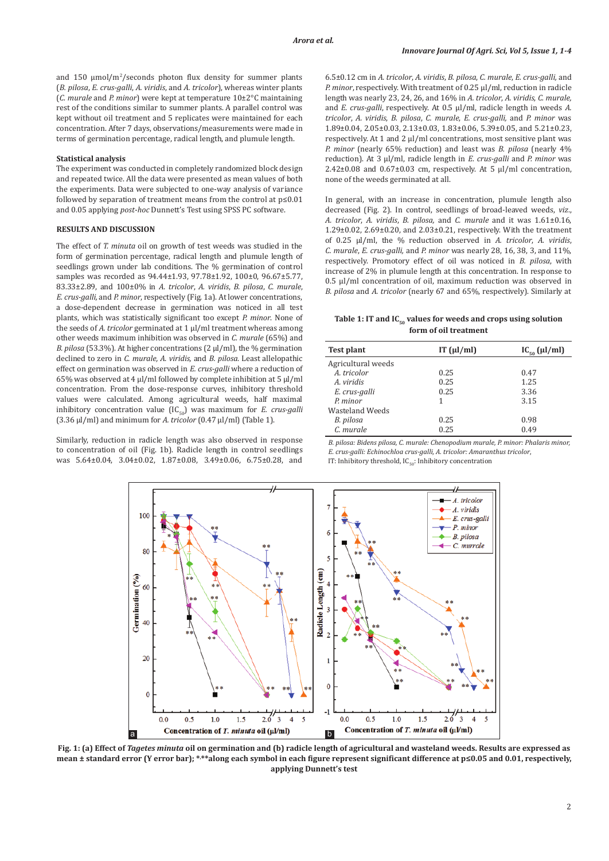and  $150 \mu \text{mol/m}^2$ /seconds photon flux density for summer plants (*B. pilosa*, *E. crus-galli*, *A. viridis*, and *A. tricolor*), whereas winter plants (*C. murale* and *P. minor*) were kept at temperature 10±2°C maintaining rest of the conditions similar to summer plants. A parallel control was kept without oil treatment and 5 replicates were maintained for each concentration. After 7 days, observations/measurements were made in terms of germination percentage, radical length, and plumule length.

#### **Statistical analysis**

The experiment was conducted in completely randomized block design and repeated twice. All the data were presented as mean values of both the experiments. Data were subjected to one-way analysis of variance followed by separation of treatment means from the control at p≤0.01 and 0.05 applying *post*-*hoc* Dunnett's Test using SPSS PC software.

### **RESULTS AND DISCUSSION**

The effect of *T. minuta* oil on growth of test weeds was studied in the form of germination percentage, radical length and plumule length of seedlings grown under lab conditions. The % germination of control samples was recorded as 94.44±1.93, 97.78±1.92, 100±0, 96.67±5.77, 83.33±2.89, and 100±0% in *A. tricolor*, *A. viridis*, *B. pilosa*, *C. murale*, *E. crus-galli,* and *P. minor*, respectively (Fig. 1a). At lower concentrations, a dose-dependent decrease in germination was noticed in all test plants, which was statistically significant too except *P. minor*. None of the seeds of *A. tricolor* germinated at 1 μl/ml treatment whereas among other weeds maximum inhibition was observed in *C. murale* (65%) and *B. pilosa* (53.3%). At higher concentrations (2 μl/ml), the % germination declined to zero in *C. murale, A. viridis,* and *B. pilosa*. Least allelopathic effect on germination was observed in *E. crus-galli* where a reduction of 65% was observed at 4 μl/ml followed by complete inhibition at 5 μl/ml concentration. From the dose-response curves, inhibitory threshold values were calculated. Among agricultural weeds, half maximal inhibitory concentration value  $(IC_{50})$  was maximum for *E. crus-galli* (3.36 μl/ml) and minimum for *A. tricolor* (0.47 μl/ml) (Table 1).

Similarly, reduction in radicle length was also observed in response to concentration of oil (Fig. 1b). Radicle length in control seedlings was 5.64±0.04, 3.04±0.02, 1.87±0.08, 3.49±0.06, 6.75±0.28, and 6.5±0.12 cm in *A. tricolor*, *A. viridis*, *B. pilosa*, *C. murale*, *E. crus-galli,* and *P. minor*, respectively. With treatment of 0.25 μl/ml, reduction in radicle length was nearly 23, 24, 26, and 16% in *A. tricolor*, *A. viridis*, *C. murale,* and *E. crus-galli*, respectively. At 0.5 μl/ml, radicle length in weeds *A. tricolor*, *A. viridis*, *B. pilosa*, *C. murale*, *E. crus-galli,* and *P. minor* was 1.89±0.04, 2.05±0.03, 2.13±0.03, 1.83±0.06, 5.39±0.05, and 5.21±0.23, respectively. At 1 and 2 μl/ml concentrations, most sensitive plant was *P. minor* (nearly 65% reduction) and least was *B. pilosa* (nearly 4% reduction). At 3 μl/ml, radicle length in *E. crus-galli* and *P. minor* was 2.42±0.08 and 0.67±0.03 cm, respectively. At 5 μl/ml concentration, none of the weeds germinated at all.

In general, with an increase in concentration, plumule length also decreased (Fig. 2). In control, seedlings of broad-leaved weeds, *viz*., *A. tricolor*, *A. viridis*, *B. pilosa,* and *C. murale* and it was 1.61±0.16, 1.29±0.02, 2.69±0.20, and 2.03±0.21, respectively. With the treatment of 0.25 μl/ml, the % reduction observed in *A. tricolor*, *A. viridis*, *C. murale*, *E. crus-galli,* and *P. minor* was nearly 28, 16, 38, 3, and 11%, respectively. Promotory effect of oil was noticed in *B. pilosa*, with increase of 2% in plumule length at this concentration. In response to 0.5 μl/ml concentration of oil, maximum reduction was observed in *B. pilosa* and *A. tricolor* (nearly 67 and 65%, respectively). Similarly at

Table 1: IT and IC<sub>50</sub> values for weeds and crops using solution **form of oil treatment**

| Test plant         | IT $(\mu l/ml)$ | $IC_{\epsilon_0}(\mu l/ml)$ |
|--------------------|-----------------|-----------------------------|
| Agricultural weeds |                 |                             |
| A. tricolor        | 0.25            | 0.47                        |
| A. viridis         | 0.25            | 1.25                        |
| E. crus-galli      | 0.25            | 3.36                        |
| P. minor           |                 | 3.15                        |
| Wasteland Weeds    |                 |                             |
| B. pilosa          | 0.25            | 0.98                        |
| C. murale          | 0.25            | 0.49                        |

*B. pilosa: Bidens pilosa, C. murale: Chenopodium murale, P. minor: Phalaris minor, E. crus-galli: Echinochloa crus-galli, A. tricolor: Amaranthus tricolor*, IT: Inhibitory threshold,  $IC_{50}$ : Inhibitory concentration



**Fig. 1: (a) Effect of** *Tagetes minuta* **oil on germination and (b) radicle length of agricultural and wasteland weeds. Results are expressed as mean ± standard error (Y error bar); \*, \*\*along each symbol in each figure represent significant difference at p≤0.05 and 0.01, respectively, applying Dunnett's test**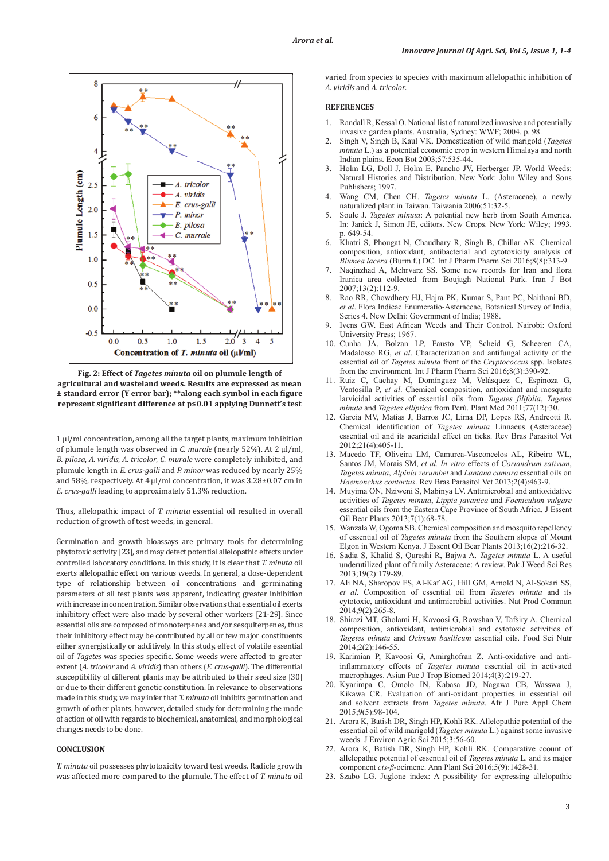

**Fig. 2: Effect of** *Tagetes minuta* **oil on plumule length of agricultural and wasteland weeds. Results are expressed as mean ± standard error (Y error bar); \*\*along each symbol in each figure represent significant difference at p≤0.01 applying Dunnett's test**

1 μl/ml concentration, among all the target plants, maximum inhibition of plumule length was observed in *C. murale* (nearly 52%). At 2 μl/ml, *B. pilosa*, *A. viridis*, *A. tricolor*, *C. murale* were completely inhibited, and plumule length in *E. crus-galli* and *P. minor* was reduced by nearly 25% and 58%, respectively. At 4 μl/ml concentration, it was 3.28±0.07 cm in *E. crus-galli* leading to approximately 51.3% reduction.

Thus, allelopathic impact of *T. minuta* essential oil resulted in overall reduction of growth of test weeds, in general.

Germination and growth bioassays are primary tools for determining phytotoxic activity [23], and may detect potential allelopathic effects under controlled laboratory conditions. In this study, it is clear that *T. minuta* oil exerts allelopathic effect on various weeds. In general, a dose-dependent type of relationship between oil concentrations and germinating parameters of all test plants was apparent, indicating greater inhibition with increase in concentration. Similar observations that essential oil exerts inhibitory effect were also made by several other workers [21-29]. Since essential oils are composed of monoterpenes and/or sesquiterpenes, thus their inhibitory effect may be contributed by all or few major constituents either synergistically or additively. In this study, effect of volatile essential oil of *Tagetes* was species specific. Some weeds were affected to greater extent (*A. tricolor* and *A. viridis*) than others (*E. crus-galli*). The differential susceptibility of different plants may be attributed to their seed size [30] or due to their different genetic constitution. In relevance to observations made in this study, we may infer that *T. minuta* oil inhibits germination and growth of other plants, however, detailed study for determining the mode of action of oil with regards to biochemical, anatomical, and morphological changes needs to be done.

# **CONCLUSION**

*T. minuta* oil possesses phytotoxicity toward test weeds. Radicle growth was affected more compared to the plumule. The effect of *T. minuta* oil varied from species to species with maximum allelopathic inhibition of *A. viridis* and *A. tricolor*.

# **REFERENCES**

- 1. Randall R, Kessal O. National list of naturalized invasive and potentially invasive garden plants. Australia, Sydney: WWF; 2004. p. 98.
- 2. Singh V, Singh B, Kaul VK. Domestication of wild marigold (*Tagetes minuta* L.) as a potential economic crop in western Himalaya and north Indian plains. Econ Bot 2003;57:535-44.
- 3. Holm LG, Doll J, Holm E, Pancho JV, Herberger JP. World Weeds: Natural Histories and Distribution. New York: John Wiley and Sons Publishers; 1997.
- 4. Wang CM, Chen CH. *Tagetes minuta* L. (Asteraceae), a newly naturalized plant in Taiwan. Taiwania 2006;51:32-5.
- 5. Soule J. *Tagetes minuta*: A potential new herb from South America. In: Janick J, Simon JE, editors. New Crops. New York: Wiley; 1993. p. 649-54.
- 6. Khatri S, Phougat N, Chaudhary R, Singh B, Chillar AK. Chemical composition, antioxidant, antibacterial and cytotoxicity analysis of *Blumea lacera* (Burm.f.) DC. Int J Pharm Pharm Sci 2016;8(8):313-9.
- 7. Naqinzhad A, Mehrvarz SS. Some new records for Iran and flora Iranica area collected from Boujagh National Park. Iran J Bot 2007;13(2):112-9.
- 8. Rao RR, Chowdhery HJ, Hajra PK, Kumar S, Pant PC, Naithani BD, *et al*. Flora Indicae Enumeratio-Asteraceae, Botanical Survey of India, Series 4. New Delhi: Government of India; 1988.
- 9. Ivens GW. East African Weeds and Their Control. Nairobi: Oxford University Press; 1967.
- 10. Cunha JA, Bolzan LP, Fausto VP, Scheid G, Scheeren CA, Madalosso RG, *et al*. Characterization and antifungal activity of the essential oil of *Tagetes minuta* front of the *Cryptococcus* spp. Isolates from the environment. Int J Pharm Pharm Sci 2016;8(3):390-92.
- 11. Ruiz C, Cachay M, Domínguez M, Velásquez C, Espinoza G, Ventosilla P, *et al*. Chemical composition, antioxidant and mosquito larvicidal activities of essential oils from *Tagetes filifolia*, *Tagetes minuta* and *Tagetes elliptica* from Perú. Plant Med 2011;77(12):30.
- 12. Garcia MV, Matias J, Barros JC, Lima DP, Lopes RS, Andreotti R. Chemical identification of *Tagetes minuta* Linnaeus (Asteraceae) essential oil and its acaricidal effect on ticks. Rev Bras Parasitol Vet 2012;21(4):405-11.
- 13. Macedo TF, Oliveira LM, Camurca-Vasconcelos AL, Ribeiro WL, Santos JM, Morais SM, *et al. In vitro* effects of *Coriandrum sativum*, *Tagetes minuta*, *Alpinia zerumbet* and *Lantana camara* essential oils on *Haemonchus contortus*. Rev Bras Parasitol Vet 2013;2(4):463-9.
- 14. Muyima ON, Nziweni S, Mabinya LV. Antimicrobial and antioxidative activities of *Tagetes minuta*, *Lippia javanica* and *Foeniculum vulgare* essential oils from the Eastern Cape Province of South Africa. J Essent Oil Bear Plants 2013;7(1):68-78.
- 15. Wanzala W, Ogoma SB. Chemical composition and mosquito repellency of essential oil of *Tagetes minuta* from the Southern slopes of Mount Elgon in Western Kenya. J Essent Oil Bear Plants 2013;16(2):216-32.
- 16. Sadia S, Khalid S, Qureshi R, Bajwa A. *Tagetes minuta* L. A useful underutilized plant of family Asteraceae: A review. Pak J Weed Sci Res 2013;19(2):179-89.
- 17. Ali NA, Sharopov FS, Al-Kaf AG, Hill GM, Arnold N, Al-Sokari SS, *et al.* Composition of essential oil from *Tagetes minuta* and its cytotoxic, antioxidant and antimicrobial activities. Nat Prod Commun 2014;9(2):265-8.
- 18. Shirazi MT, Gholami H, Kavoosi G, Rowshan V, Tafsiry A. Chemical composition, antioxidant, antimicrobial and cytotoxic activities of *Tagetes minuta* and *Ocimum basilicum* essential oils. Food Sci Nutr 2014;2(2):146-55.
- 19. Karimian P, Kavoosi G, Amirghofran Z. Anti-oxidative and antiinflammatory effects of *Tagetes minuta* essential oil in activated macrophages. Asian Pac J Trop Biomed 2014;4(3):219-27.
- 20. Kyarimpa C, Omolo IN, Kabasa JD, Nagawa CB, Wasswa J, Kikawa CR. Evaluation of anti-oxidant properties in essential oil and solvent extracts from *Tagetes minuta*. Afr J Pure Appl Chem 2015;9(5):98-104.
- 21. Arora K, Batish DR, Singh HP, Kohli RK. Allelopathic potential of the essential oil of wild marigold (*Tagetes minuta* L.) against some invasive weeds. J Environ Agric Sci 2015;3:56-60.
- 22. Arora K, Batish DR, Singh HP, Kohli RK. Comparative ccount of allelopathic potential of essential oil of *Tagetes minuta* L. and its major component *cis*-*β*-ocimene. Ann Plant Sci 2016;5(9):1428-31.
- 23. Szabo LG. Juglone index: A possibility for expressing allelopathic